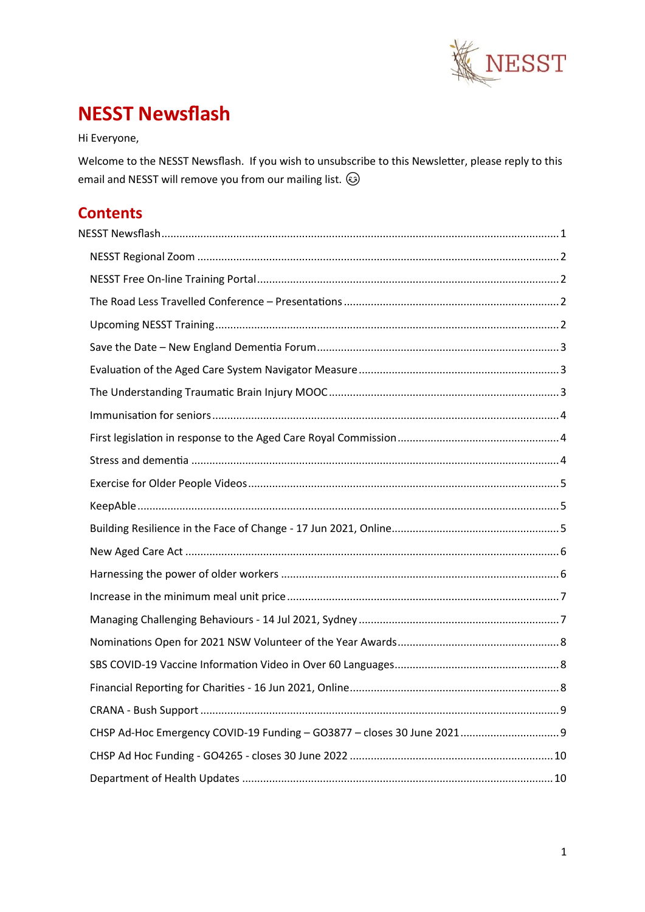

# <span id="page-0-0"></span>**NESST Newsflash**

Hi Everyone,

Welcome to the NESST Newsflash. If you wish to unsubscribe to this Newsletter, please reply to this email and NESST will remove you from our mailing list.  $\circledS$ 

## **Contents**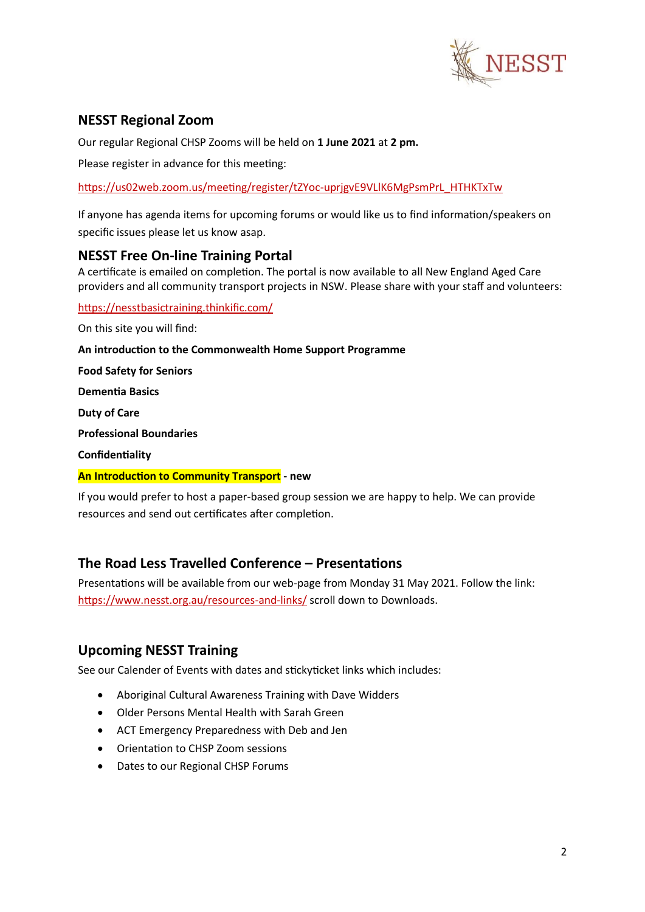

## <span id="page-1-0"></span>**NESST Regional Zoom**

Our regular Regional CHSP Zooms will be held on **1 June 2021** at **2 pm.**

Please register in advance for this meeting:

[https://us02web.zoom.us/meeting/register/tZYoc-uprjgvE9VLlK6MgPsmPrL\\_HTHKTxTw](https://us02web.zoom.us/meeting/register/tZYoc-uprjgvE9VLlK6MgPsmPrL_HTHKTxTw)

If anyone has agenda items for upcoming forums or would like us to find information/speakers on specific issues please let us know asap.

#### <span id="page-1-1"></span>**NESST Free On-line Training Portal**

A certificate is emailed on completion. The portal is now available to all New England Aged Care providers and all community transport projects in NSW. Please share with your staff and volunteers:

<https://nesstbasictraining.thinkific.com/>

On this site you will find:

**An introduction to the Commonwealth Home Support Programme**

**Food Safety for Seniors** 

**Dementia Basics**

**Duty of Care**

**Professional Boundaries**

**Confidentiality** 

#### **An Introduction to Community Transport - new**

If you would prefer to host a paper-based group session we are happy to help. We can provide resources and send out certificates after completion.

#### <span id="page-1-2"></span>**The Road Less Travelled Conference – Presentations**

Presentations will be available from our web-page from Monday 31 May 2021. Follow the link: <https://www.nesst.org.au/resources-and-links/> scroll down to Downloads.

#### <span id="page-1-3"></span>**Upcoming NESST Training**

See our Calender of Events with dates and stickyticket links which includes:

- Aboriginal Cultural Awareness Training with Dave Widders
- Older Persons Mental Health with Sarah Green
- ACT Emergency Preparedness with Deb and Jen
- Orientation to CHSP Zoom sessions
- Dates to our Regional CHSP Forums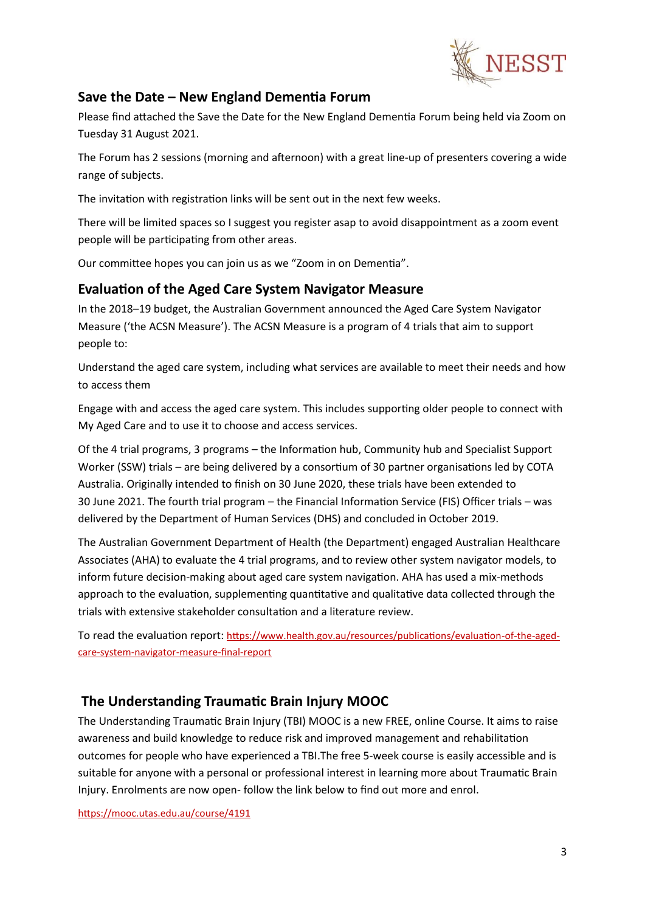

#### <span id="page-2-0"></span>**Save the Date – New England Dementia Forum**

Please find attached the Save the Date for the New England Dementia Forum being held via Zoom on Tuesday 31 August 2021.

The Forum has 2 sessions (morning and afternoon) with a great line-up of presenters covering a wide range of subjects.

The invitation with registration links will be sent out in the next few weeks.

There will be limited spaces so I suggest you register asap to avoid disappointment as a zoom event people will be participating from other areas.

Our committee hopes you can join us as we "Zoom in on Dementia".

#### <span id="page-2-1"></span>**Evaluation of the Aged Care System Navigator Measure**

In the 2018–19 budget, the Australian Government announced the Aged Care System Navigator Measure ('the ACSN Measure'). The ACSN Measure is a program of 4 trials that aim to support people to:

Understand the aged care system, including what services are available to meet their needs and how to access them

Engage with and access the aged care system. This includes supporting older people to connect with My Aged Care and to use it to choose and access services.

Of the 4 trial programs, 3 programs – the Information hub, Community hub and Specialist Support Worker (SSW) trials – are being delivered by a consortium of 30 partner organisations led by COTA Australia. Originally intended to finish on 30 June 2020, these trials have been extended to 30 June 2021. The fourth trial program – the Financial Information Service (FIS) Officer trials – was delivered by the Department of Human Services (DHS) and concluded in October 2019.

The Australian Government Department of Health (the Department) engaged Australian Healthcare Associates (AHA) to evaluate the 4 trial programs, and to review other system navigator models, to inform future decision-making about aged care system navigation. AHA has used a mix-methods approach to the evaluation, supplementing quantitative and qualitative data collected through the trials with extensive stakeholder consultation and a literature review.

To read the evaluation report: [https://www.health.gov.au/resources/publications/evaluation-of-the-aged](https://www.health.gov.au/resources/publications/evaluation-of-the-aged-care-system-navigator-measure-final-report)[care-system-navigator-measure-final-report](https://www.health.gov.au/resources/publications/evaluation-of-the-aged-care-system-navigator-measure-final-report)

#### <span id="page-2-2"></span>**The Understanding Traumatic Brain Injury MOOC**

The Understanding Traumatic Brain Injury (TBI) MOOC is a new FREE, online Course. It aims to raise awareness and build knowledge to reduce risk and improved management and rehabilitation outcomes for people who have experienced a TBI.The free 5-week course is easily accessible and is suitable for anyone with a personal or professional interest in learning more about Traumatic Brain Injury. Enrolments are now open- follow the link below to find out more and enrol.

<https://mooc.utas.edu.au/course/4191>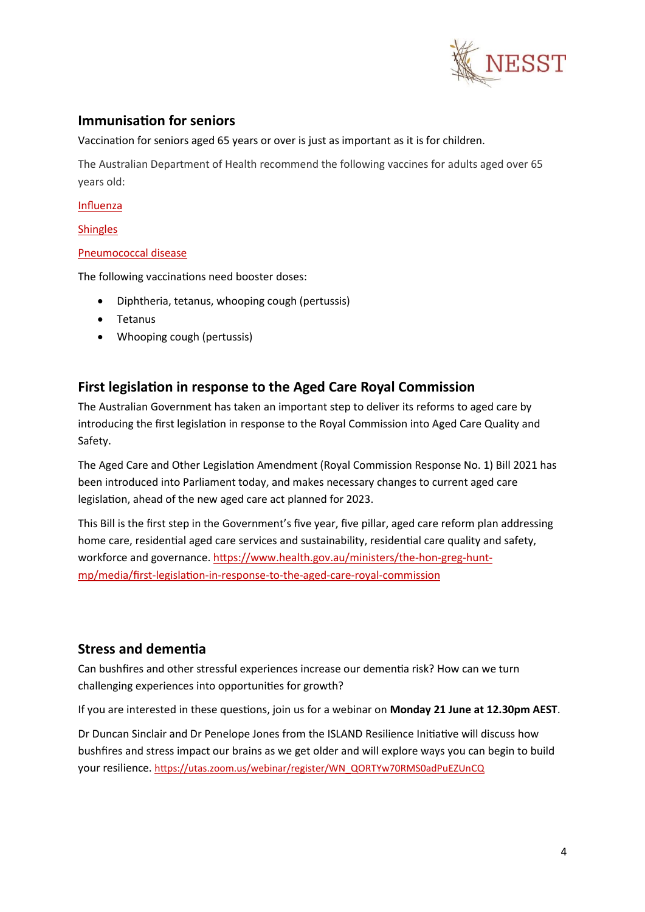

#### <span id="page-3-0"></span>**Immunisation for seniors**

Vaccination for seniors aged 65 years or over is just as important as it is for children.

The Australian Department of Health recommend the following vaccines for adults aged over 65 years old:

[Influenza](https://www.health.gov.au/health-topics/flu-influenza)

**[Shingles](https://www.health.gov.au/health-topics/shingles-herpes-zoster)** 

#### [Pneumococcal disease](https://www.health.gov.au/health-topics/pneumococcal-disease)

The following vaccinations need booster doses:

- Diphtheria, tetanus, whooping cough (pertussis)
- Tetanus
- Whooping cough (pertussis)

## <span id="page-3-1"></span>**First legislation in response to the Aged Care Royal Commission**

The Australian Government has taken an important step to deliver its reforms to aged care by introducing the first legislation in response to the Royal Commission into Aged Care Quality and Safety.

The Aged Care and Other Legislation Amendment (Royal Commission Response No. 1) Bill 2021 has been introduced into Parliament today, and makes necessary changes to current aged care legislation, ahead of the new aged care act planned for 2023.

This Bill is the first step in the Government's five year, five pillar, aged care reform plan addressing home care, residential aged care services and sustainability, residential care quality and safety, workforce and governance. [https://www.health.gov.au/ministers/the-hon-greg-hunt](https://www.health.gov.au/ministers/the-hon-greg-hunt-mp/media/first-legislation-in-response-to-the-aged-care-royal-commission)[mp/media/first-legislation-in-response-to-the-aged-care-royal-commission](https://www.health.gov.au/ministers/the-hon-greg-hunt-mp/media/first-legislation-in-response-to-the-aged-care-royal-commission)

#### <span id="page-3-2"></span>**Stress and dementia**

Can bushfires and other stressful experiences increase our dementia risk? How can we turn challenging experiences into opportunities for growth?

If you are interested in these questions, join us for a webinar on **Monday 21 June at 12.30pm AEST**.

Dr Duncan Sinclair and Dr Penelope Jones from the ISLAND Resilience Initiative will discuss how bushfires and stress impact our brains as we get older and will explore ways you can begin to build your resilience. [https://utas.zoom.us/webinar/register/WN\\_QORTYw70RMS0adPuEZUnCQ](https://utas.zoom.us/webinar/register/WN_QORTYw70RMS0adPuEZUnCQ)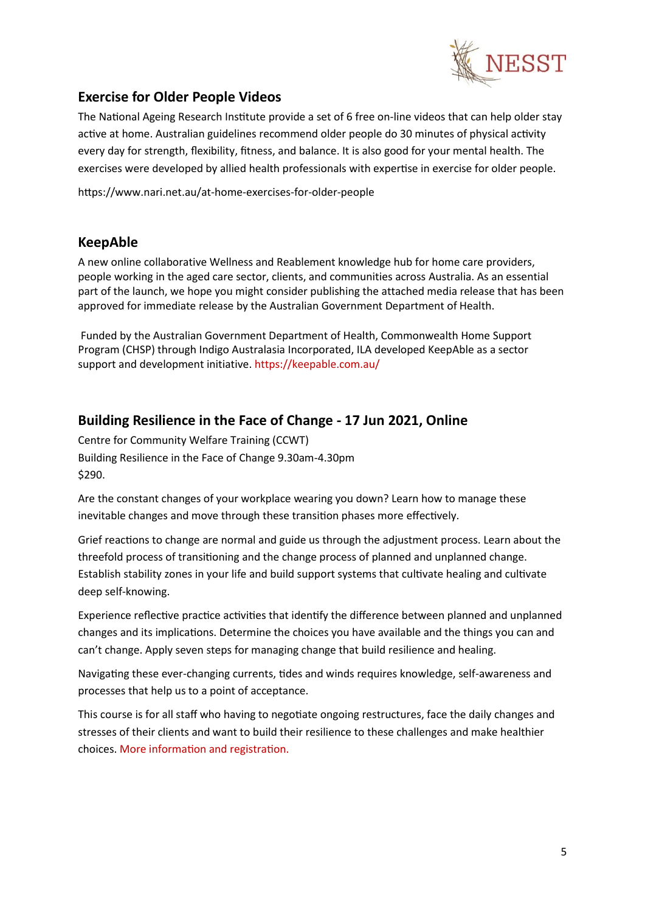

## <span id="page-4-0"></span>**Exercise for Older People Videos**

The National Ageing Research Institute provide a set of 6 free on-line videos that can help older stay active at home[. Australian guidelines](https://www1.health.gov.au/internet/main/publishing.nsf/Content/health-pubhlth-strateg-phys-act-guidelines#npa%2065) recommend older people do 30 minutes of physical activity every day for strength, flexibility, fitness, and balance. It is also good for your mental health. The exercises were developed by allied health professionals with expertise in exercise for older people.

https://www.nari.net.au/at-home-exercises-for-older-people

#### <span id="page-4-1"></span>**KeepAble**

A new online collaborative Wellness and Reablement knowledge hub for home care providers, people working in the aged care sector, clients, and communities across Australia. As an essential part of the launch, we hope you might consider publishing the attached media release that has been approved for immediate release by the Australian Government Department of Health.

Funded by the Australian Government Department of Health, Commonwealth Home Support Program (CHSP) through Indigo Australasia Incorporated, ILA developed KeepAble as a sector support and development initiative. https://keepable.com.au/

## <span id="page-4-2"></span>**Building Resilience in the Face of Change - 17 Jun 2021, Online**

Centre for Community Welfare Training (CCWT) Building Resilience in the Face of Change 9.30am-4.30pm \$290.

Are the constant changes of your workplace wearing you down? Learn how to manage these inevitable changes and move through these transition phases more effectively.

Grief reactions to change are normal and guide us through the adjustment process. Learn about the threefold process of transitioning and the change process of planned and unplanned change. Establish stability zones in your life and build support systems that cultivate healing and cultivate deep self-knowing.

Experience reflective practice activities that identify the difference between planned and unplanned changes and its implications. Determine the choices you have available and the things you can and can't change. Apply seven steps for managing change that build resilience and healing.

Navigating these ever-changing currents, tides and winds requires knowledge, self-awareness and processes that help us to a point of acceptance.

This course is for all staff who having to negotiate ongoing restructures, face the daily changes and stresses of their clients and want to build their resilience to these challenges and make healthier choices. [More information and registration.](https://www.ccwt.edu.au/course/CNSL45)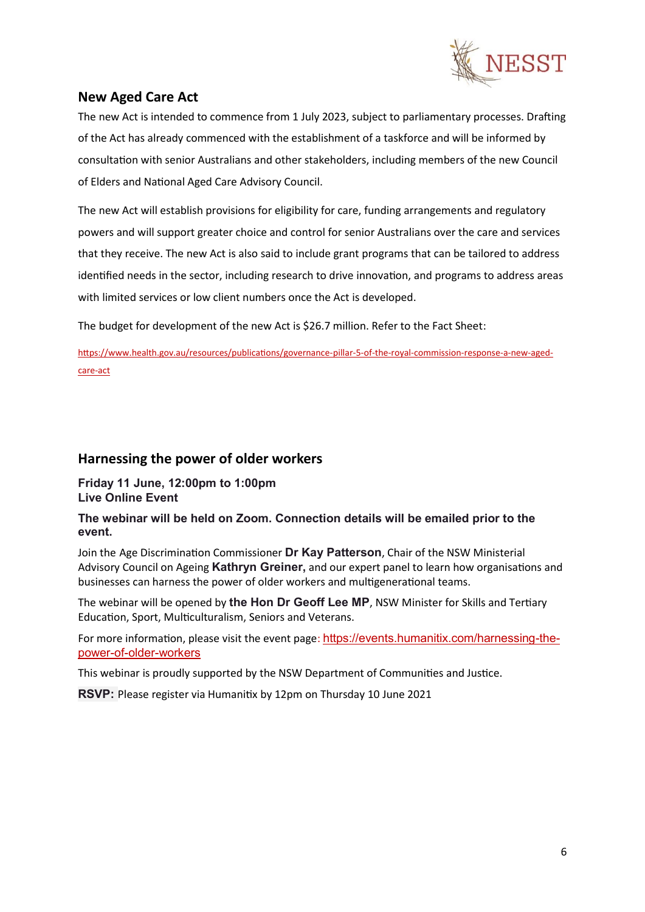

## <span id="page-5-0"></span>**New Aged Care Act**

The new Act is intended to commence from 1 July 2023, subject to parliamentary processes. Drafting of the Act has already commenced with the establishment of a taskforce and will be informed by consultation with senior Australians and other stakeholders, including members of the new Council of Elders and National Aged Care Advisory Council.

The new Act will establish provisions for eligibility for care, funding arrangements and regulatory powers and will support greater choice and control for senior Australians over the care and services that they receive. The new Act is also said to include grant programs that can be tailored to address identified needs in the sector, including research to drive innovation, and programs to address areas with limited services or low client numbers once the Act is developed.

The budget for development of the new Act is \$26.7 million. Refer to the Fact Sheet:

[https://www.health.gov.au/resources/publications/governance-pillar-5-of-the-royal-commission-response-a-new-aged](https://www.health.gov.au/resources/publications/governance-pillar-5-of-the-royal-commission-response-a-new-aged-care-act)[care-act](https://www.health.gov.au/resources/publications/governance-pillar-5-of-the-royal-commission-response-a-new-aged-care-act)

#### <span id="page-5-1"></span>**Harnessing the power of older workers**

**Friday 11 June, 12:00pm to 1:00pm Live Online Event**

#### **The webinar will be held on Zoom. Connection details will be emailed prior to the event.**

Join the Age Discrimination Commissioner **Dr Kay Patterson**, Chair of the NSW Ministerial Advisory Council on Ageing **Kathryn Greiner,** and our expert panel to learn how organisations and businesses can harness the power of older workers and multigenerational teams.

The webinar will be opened by **the Hon Dr Geoff Lee MP**, NSW Minister for Skills and Tertiary Education, Sport, Multiculturalism, Seniors and Veterans.

For more information, please visit the event page: [https://events.humanitix.com/harnessing-the](https://events.humanitix.com/harnessing-the-power-of-older-workers)[power-of-older-workers](https://events.humanitix.com/harnessing-the-power-of-older-workers)

This webinar is proudly supported by the NSW Department of Communities and Justice.

**RSVP:** Please register via Humanitix by 12pm on Thursday 10 June 2021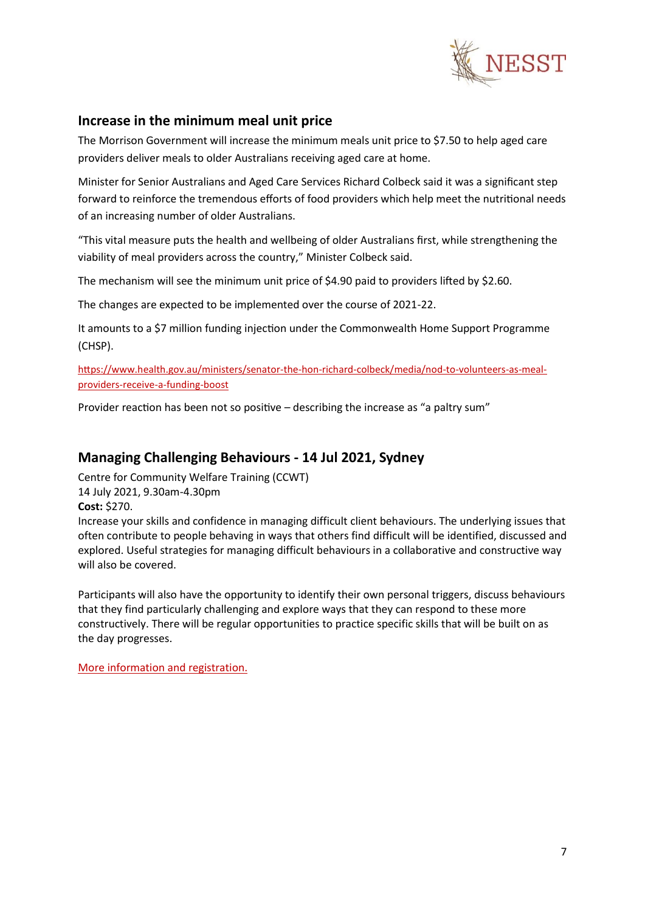

#### <span id="page-6-0"></span>**Increase in the minimum meal unit price**

The Morrison Government will increase the minimum meals unit price to \$7.50 to help aged care providers deliver meals to older Australians receiving aged care at home.

Minister for Senior Australians and Aged Care Services Richard Colbeck said it was a significant step forward to reinforce the tremendous efforts of food providers which help meet the nutritional needs of an increasing number of older Australians.

"This vital measure puts the health and wellbeing of older Australians first, while strengthening the viability of meal providers across the country," Minister Colbeck said.

The mechanism will see the minimum unit price of \$4.90 paid to providers lifted by \$2.60.

The changes are expected to be implemented over the course of 2021-22.

It amounts to a \$7 million funding injection under the Commonwealth Home Support Programme (CHSP).

[https://www.health.gov.au/ministers/senator-the-hon-richard-colbeck/media/nod-to-volunteers-as-meal](https://www.health.gov.au/ministers/senator-the-hon-richard-colbeck/media/nod-to-volunteers-as-meal-providers-receive-a-funding-boost)[providers-receive-a-funding-boost](https://www.health.gov.au/ministers/senator-the-hon-richard-colbeck/media/nod-to-volunteers-as-meal-providers-receive-a-funding-boost)

Provider reaction has been not so positive – describing the increase as "a paltry sum"

#### <span id="page-6-1"></span>**Managing Challenging Behaviours - 14 Jul 2021, Sydney**

Centre for Community Welfare Training (CCWT) 14 July 2021, 9.30am-4.30pm **Cost:** \$270.

Increase your skills and confidence in managing difficult client behaviours. The underlying issues that often contribute to people behaving in ways that others find difficult will be identified, discussed and explored. Useful strategies for managing difficult behaviours in a collaborative and constructive way will also be covered.

Participants will also have the opportunity to identify their own personal triggers, discuss behaviours that they find particularly challenging and explore ways that they can respond to these more constructively. There will be regular opportunities to practice specific skills that will be built on as the day progresses.

[More information and registration.](https://www.ccwt.edu.au/course/WORK06)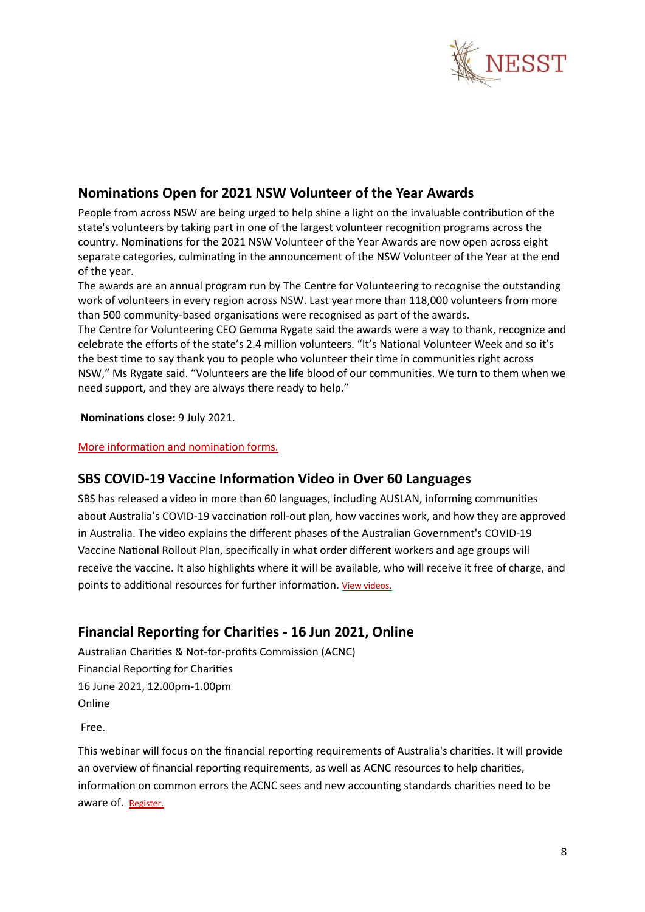

## <span id="page-7-0"></span>**Nominations Open for 2021 NSW Volunteer of the Year Awards**

People from across NSW are being urged to help shine a light on the invaluable contribution of the state's volunteers by taking part in one of the largest volunteer recognition programs across the country. Nominations for the 2021 NSW Volunteer of the Year Awards are now open across eight separate categories, culminating in the announcement of the NSW Volunteer of the Year at the end of the year.

The awards are an annual program run by The Centre for Volunteering to recognise the outstanding work of volunteers in every region across NSW. Last year more than 118,000 volunteers from more than 500 community-based organisations were recognised as part of the awards.

The Centre for Volunteering CEO Gemma Rygate said the awards were a way to thank, recognize and celebrate the efforts of the state's 2.4 million volunteers. "It's National Volunteer Week and so it's the best time to say thank you to people who volunteer their time in communities right across NSW," Ms Rygate said. "Volunteers are the life blood of our communities. We turn to them when we need support, and they are always there ready to help."

#### **Nominations close:** 9 July 2021.

#### [More information and nomination forms.](https://www.volunteering.com.au/volunteer-awards/)

#### <span id="page-7-1"></span>**SBS COVID-19 Vaccine Information Video in Over 60 Languages**

SBS has released a video in more than 60 languages, including AUSLAN, informing communities about Australia's COVID-19 vaccination roll-out plan, how vaccines work, and how they are approved in Australia. The video explains the different phases of the Australian Government's COVID-19 Vaccine National Rollout Plan, specifically in what order different workers and age groups will receive the vaccine. It also highlights where it will be available, who will receive it free of charge, and points to additional resources for further information. [View videos.](https://www.sbs.com.au/language/coronavirus)

#### <span id="page-7-2"></span>**Financial Reporting for Charities - 16 Jun 2021, Online**

Australian Charities & Not-for-profits Commission (ACNC) Financial Reporting for Charities 16 June 2021, 12.00pm-1.00pm Online

Free.

This webinar will focus on the financial reporting requirements of Australia's charities. It will provide an overview of financial reporting requirements, as well as ACNC resources to help charities, information on common errors the ACNC sees and new accounting standards charities need to be aware of. [Register.](https://register.gotowebinar.com/register/5093507821231688206)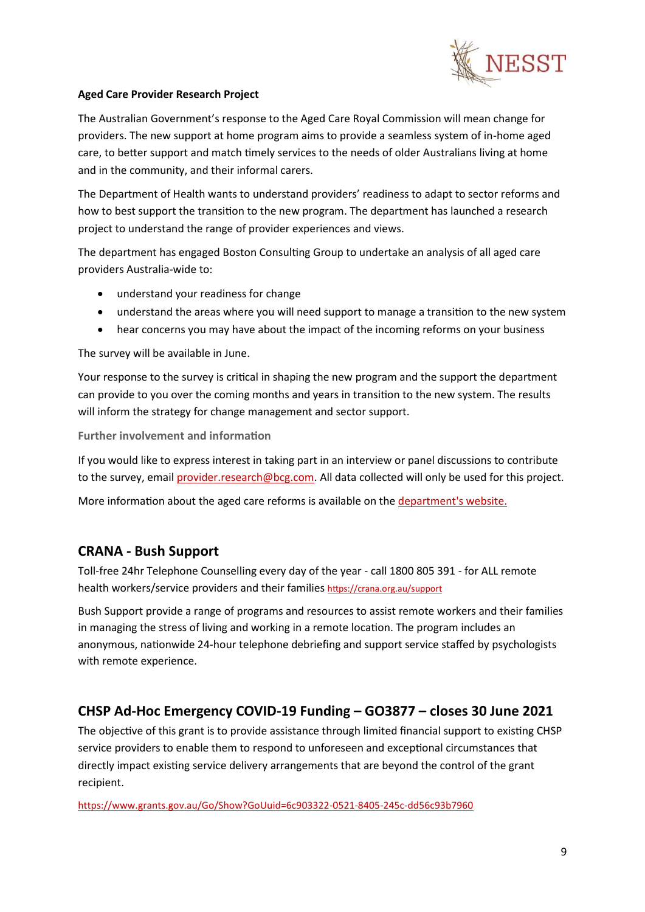

#### **Aged Care Provider Research Project**

The Australian Government's response to the Aged Care Royal Commission will mean change for providers. The new support at home program aims to provide a seamless system of in-home aged care, to better support and match timely services to the needs of older Australians living at home and in the community, and their informal carers.

The Department of Health wants to understand providers' readiness to adapt to sector reforms and how to best support the transition to the new program. The department has launched a research project to understand the range of provider experiences and views.

The department has engaged Boston Consulting Group to undertake an analysis of all aged care providers Australia-wide to:

- understand your readiness for change
- understand the areas where you will need support to manage a transition to the new system
- hear concerns you may have about the impact of the incoming reforms on your business

The survey will be available in June.

Your response to the survey is critical in shaping the new program and the support the department can provide to you over the coming months and years in transition to the new system. The results will inform the strategy for change management and sector support.

**Further involvement and information**

If you would like to express interest in taking part in an interview or panel discussions to contribute to the survey, email [provider.research@bcg.com.](mailto:provider.research@bcg.com) All data collected will only be used for this project.

More information about the aged care reforms is available on the [department's website.](http://www.health.gov.au/aged-care-reforms)

#### <span id="page-8-0"></span>**CRANA - Bush Support**

Toll-free 24hr Telephone Counselling every day of the year - call 1800 805 391 - for ALL remote health workers/service providers and their families <https://crana.org.au/support>

Bush Support provide a range of programs and resources to assist remote workers and their families in managing the stress of living and working in a remote location. The program includes an anonymous, nationwide 24-hour telephone debriefing and support service staffed by psychologists with remote experience.

#### <span id="page-8-1"></span>**[CHSP Ad-Hoc Emergency COVID-19](https://mealsonwheelsnsw.cmail19.com/t/j-l-akhlukt-irwihkihl-s/) Funding – GO3877 – closes 30 June 2021**

The objective of this grant is to provide assistance through limited financial support to existing CHSP service providers to enable them to respond to unforeseen and exceptional circumstances that directly impact existing service delivery arrangements that are beyond the control of the grant recipient.

<https://www.grants.gov.au/Go/Show?GoUuid=6c903322-0521-8405-245c-dd56c93b7960>